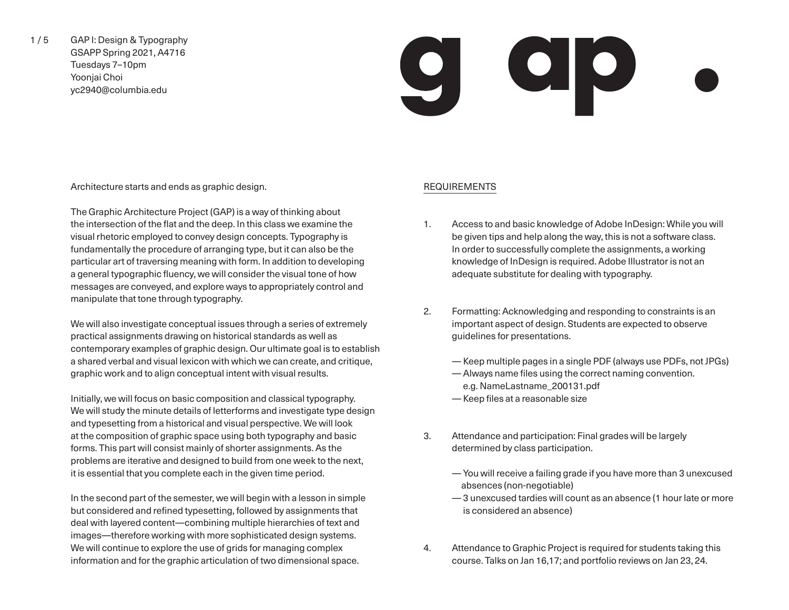$1/5$ GAP I: Design & Typography GSAPP Spring 2021, A4716 Tuesdays 7–10pm Yoonjai Choi yc2940@columbia.edu

# $\mathbf{C}$  $\boxed{\textcolor{blue}{\bullet}}$

#### Architecture starts and ends as graphic design.

The Graphic Architecture Project (GAP) is a way of thinking about the intersection of the flat and the deep. In this class we examine the visual rhetoric employed to convey design concepts. Typography is fundamentally the procedure of arranging type, but it can also be the particular art of traversing meaning with form. In addition to developing a general typographic fluency, we will consider the visual tone of how messages are conveyed, and explore ways to appropriately control and manipulate that tone through typography.

We will also investigate conceptual issues through a series of extremely practical assignments drawing on historical standards as well as contemporary examples of graphic design. Our ultimate goal is to establish a shared verbal and visual lexicon with which we can create, and critique, graphic work and to align conceptual intent with visual results.

Initially, we will focus on basic composition and classical typography. We will study the minute details of letterforms and investigate type design and typesetting from a historical and visual perspective. We will look at the composition of graphic space using both typography and basic forms. This part will consist mainly of shorter assignments. As the problems are iterative and designed to build from one week to the next, it is essential that you complete each in the given time period.

In the second part of the semester, we will begin with a lesson in simple but considered and refined typesetting, followed by assignments that deal with layered content—combining multiple hierarchies of text and images—therefore working with more sophisticated design systems. We will continue to explore the use of grids for managing complex information and for the graphic articulation of two dimensional space.

## REQUIREMENTS

- 1. Access to and basic knowledge of Adobe InDesign: While you will be given tips and help along the way, this is not a software class. In order to successfully complete the assignments, a working knowledge of InDesign is required. Adobe Illustrator is not an adequate substitute for dealing with typography.
- 2. Formatting: Acknowledging and responding to constraints is an important aspect of design. Students are expected to observe guidelines for presentations.
	- Keep multiple pages in a single PDF (always use PDFs, not JPGs)
	- Always name files using the correct naming convention. e.g. NameLastname\_200131.pdf
	- Keep files at a reasonable size
- 3. Attendance and participation: Final grades will be largely determined by class participation.
	- You will receive a failing grade if you have more than 3 unexcused absences (non-negotiable)
	- 3 unexcused tardies will count as an absence (1 hour late or more is considered an absence)
- 4. Attendance to Graphic Project is required for students taking this course. Talks on Jan 16,17; and portfolio reviews on Jan 23, 24.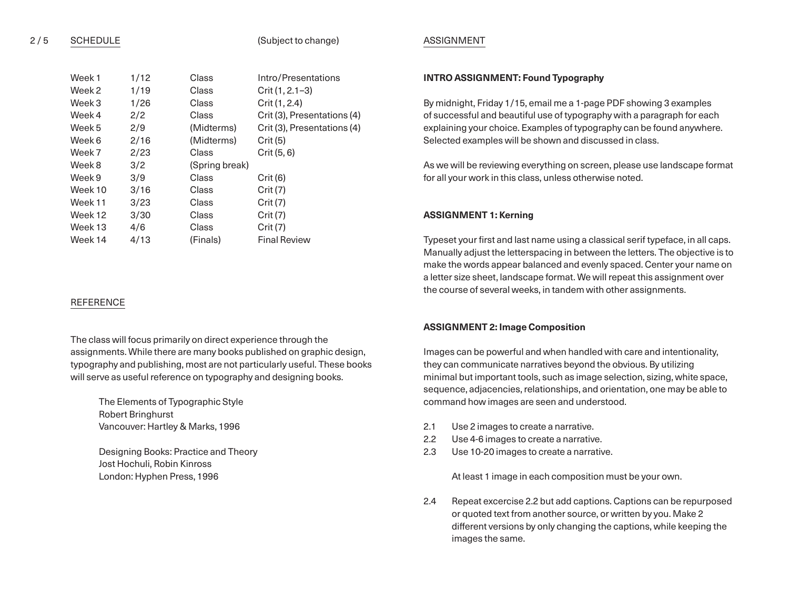SCHEDULE (Subject to change)

| Week 1<br>Week 2 | 1/12<br>1/19 | Class<br>Class | Intro/Presentations<br>Crit (1, 2.1-3) |
|------------------|--------------|----------------|----------------------------------------|
| Week 3           | 1/26         | Class          | Crit (1, 2.4)                          |
| Week 4           | 2/2          | Class          | Crit (3), Presentations (4)            |
| Week 5           | 2/9          | (Midterms)     | Crit (3), Presentations (4)            |
| Week 6           | 2/16         | (Midterms)     | Crit(5)                                |
| Week 7           | 2/23         | Class          | Crit (5, 6)                            |
| Week 8           | 3/2          | (Spring break) |                                        |
| Week 9           | 3/9          | Class          | Crit(6)                                |
| Week 10          | 3/16         | Class          | Crit (7)                               |
| Week 11          | 3/23         | Class          | Crit (7)                               |
| Week 12          | 3/30         | Class          | Crit (7)                               |
| Week 13          | 4/6          | Class          | Crit (7)                               |
| Week 14          | 4/13         | (Finals)       | <b>Final Review</b>                    |

# REFERENCE

The class will focus primarily on direct experience through the assignments. While there are many books published on graphic design, typography and publishing, most are not particularly useful. These books will serve as useful reference on typography and designing books.

The Elements of Typographic Style Robert Bringhurst Vancouver: Hartley & Marks, 1996

Designing Books: Practice and Theory Jost Hochuli, Robin Kinross London: Hyphen Press, 1996

# ASSIGNMENT

#### **INTRO ASSIGNMENT: Found Typography**

By midnight, Friday 1/15, email me a 1-page PDF showing 3 examples of successful and beautiful use of typography with a paragraph for each explaining your choice. Examples of typography can be found anywhere. Selected examples will be shown and discussed in class.

As we will be reviewing everything on screen, please use landscape format for all your work in this class, unless otherwise noted.

## **ASSIGNMENT 1: Kerning**

Typeset your first and last name using a classical serif typeface, in all caps. Manually adjust the letterspacing in between the letters. The objective is to make the words appear balanced and evenly spaced. Center your name on a letter size sheet, landscape format. We will repeat this assignment over the course of several weeks, in tandem with other assignments.

#### **ASSIGNMENT 2: Image Composition**

Images can be powerful and when handled with care and intentionality, they can communicate narratives beyond the obvious. By utilizing minimal but important tools, such as image selection, sizing, white space, sequence, adjacencies, relationships, and orientation, one may be able to command how images are seen and understood.

- 2.1 Use 2 images to create a narrative.
- 2.2 Use 4-6 images to create a narrative.
- 2.3 Use 10-20 images to create a narrative.

At least 1 image in each composition must be your own.

2.4 Repeat excercise 2.2 but add captions. Captions can be repurposed or quoted text from another source, or written by you. Make 2 different versions by only changing the captions, while keeping the images the same.